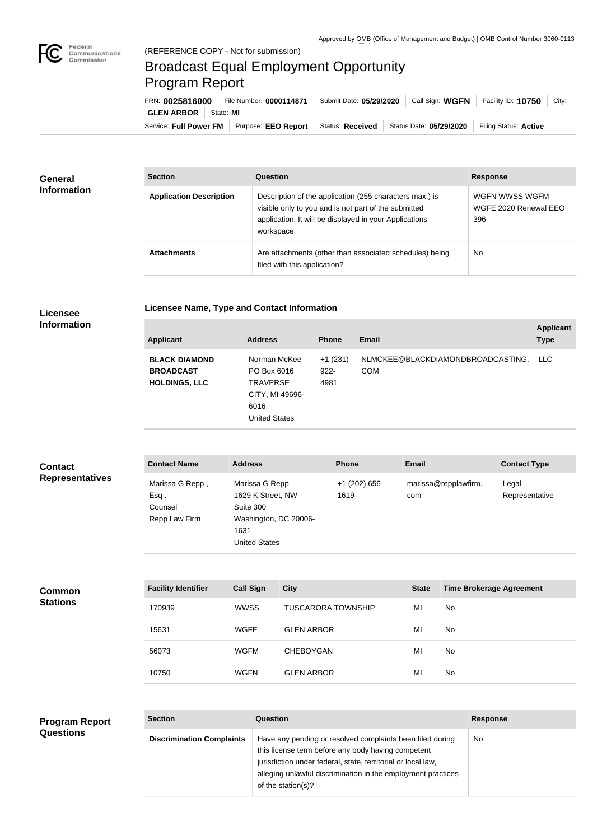

## Broadcast Equal Employment Opportunity Program Report

Service: Full Power FM Purpose: EEO Report | Status: Received | Status Date: 05/29/2020 | Filing Status: Active **GLEN ARBOR** State: **MI** FRN: **0025816000** File Number: **0000114871** Submit Date: **05/29/2020** Call Sign: **WGFN** Facility ID: **10750** City:

| <b>General</b><br><b>Information</b> | <b>Section</b>                 | Question                                                                                                                                                                                | <b>Response</b>                                |  |
|--------------------------------------|--------------------------------|-----------------------------------------------------------------------------------------------------------------------------------------------------------------------------------------|------------------------------------------------|--|
|                                      | <b>Application Description</b> | Description of the application (255 characters max.) is<br>visible only to you and is not part of the submitted<br>application. It will be displayed in your Applications<br>workspace. | WGFN WWSS WGFM<br>WGFE 2020 Renewal EEO<br>396 |  |
|                                      | <b>Attachments</b>             | Are attachments (other than associated schedules) being<br>filed with this application?                                                                                                 | No                                             |  |

## **Licensee Information**

|  | Licensee Name, Type and Contact Information |  |
|--|---------------------------------------------|--|
|--|---------------------------------------------|--|

| <b>Applicant</b>                                                 | <b>Address</b>                                                                             | <b>Phone</b>                 | Email                                           | <b>Applicant</b><br><b>Type</b> |
|------------------------------------------------------------------|--------------------------------------------------------------------------------------------|------------------------------|-------------------------------------------------|---------------------------------|
| <b>BLACK DIAMOND</b><br><b>BROADCAST</b><br><b>HOLDINGS, LLC</b> | Norman McKee<br>PO Box 6016<br>TRAVERSE<br>CITY, MI 49696-<br>6016<br><b>United States</b> | $+1(231)$<br>$922 -$<br>4981 | NLMCKEE@BLACKDIAMONDBROADCASTING.<br><b>COM</b> | LLC.                            |

| <b>Contact</b>         | <b>Contact Name</b>                                 | <b>Address</b>                                                                                            | <b>Phone</b>            | <b>Email</b>                | <b>Contact Type</b>     |
|------------------------|-----------------------------------------------------|-----------------------------------------------------------------------------------------------------------|-------------------------|-----------------------------|-------------------------|
| <b>Representatives</b> | Marissa G Repp,<br>Esq.<br>Counsel<br>Repp Law Firm | Marissa G Repp<br>1629 K Street, NW<br>Suite 300<br>Washington, DC 20006-<br>1631<br><b>United States</b> | $+1$ (202) 656-<br>1619 | marissa@repplawfirm.<br>com | Legal<br>Representative |

| <b>Common</b><br><b>Stations</b> | <b>Facility Identifier</b> | <b>Call Sign</b> | <b>City</b>               | <b>State</b> | <b>Time Brokerage Agreement</b> |
|----------------------------------|----------------------------|------------------|---------------------------|--------------|---------------------------------|
|                                  | 170939                     | <b>WWSS</b>      | <b>TUSCARORA TOWNSHIP</b> | MI           | No                              |
|                                  | 15631                      | <b>WGFE</b>      | <b>GLEN ARBOR</b>         | MI           | No                              |
|                                  | 56073                      | <b>WGFM</b>      | <b>CHEBOYGAN</b>          | MI           | No                              |
|                                  | 10750                      | <b>WGFN</b>      | <b>GLEN ARBOR</b>         | MI           | No                              |

| <b>Program Report</b> | <b>Section</b>                   | Question                                                                                                                                                                                                                                                              | <b>Response</b> |
|-----------------------|----------------------------------|-----------------------------------------------------------------------------------------------------------------------------------------------------------------------------------------------------------------------------------------------------------------------|-----------------|
| <b>Questions</b>      | <b>Discrimination Complaints</b> | Have any pending or resolved complaints been filed during<br>this license term before any body having competent<br>jurisdiction under federal, state, territorial or local law,<br>alleging unlawful discrimination in the employment practices<br>of the station(s)? | No.             |